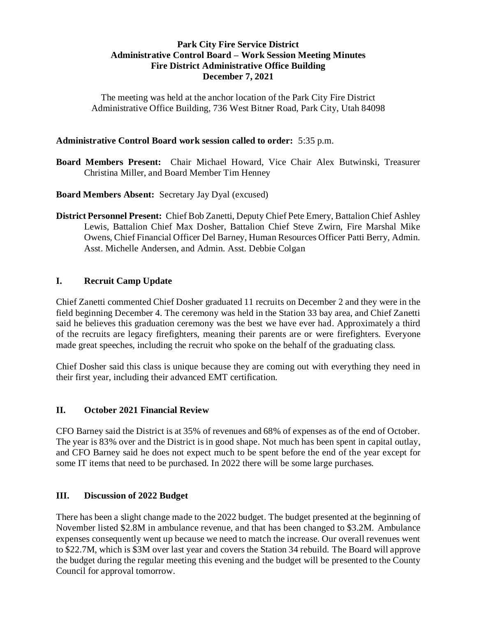# **Park City Fire Service District Administrative Control Board – Work Session Meeting Minutes Fire District Administrative Office Building December 7, 2021**

The meeting was held at the anchor location of the Park City Fire District Administrative Office Building, 736 West Bitner Road, Park City, Utah 84098

## **Administrative Control Board work session called to order:** 5:35 p.m.

**Board Members Present:** Chair Michael Howard, Vice Chair Alex Butwinski, Treasurer Christina Miller, and Board Member Tim Henney

## **Board Members Absent:** Secretary Jay Dyal (excused)

**District Personnel Present:** Chief Bob Zanetti, Deputy Chief Pete Emery, Battalion Chief Ashley Lewis, Battalion Chief Max Dosher, Battalion Chief Steve Zwirn, Fire Marshal Mike Owens, Chief Financial Officer Del Barney, Human Resources Officer Patti Berry, Admin. Asst. Michelle Andersen, and Admin. Asst. Debbie Colgan

## **I. Recruit Camp Update**

Chief Zanetti commented Chief Dosher graduated 11 recruits on December 2 and they were in the field beginning December 4. The ceremony was held in the Station 33 bay area, and Chief Zanetti said he believes this graduation ceremony was the best we have ever had. Approximately a third of the recruits are legacy firefighters, meaning their parents are or were firefighters. Everyone made great speeches, including the recruit who spoke on the behalf of the graduating class.

Chief Dosher said this class is unique because they are coming out with everything they need in their first year, including their advanced EMT certification.

### **II. October 2021 Financial Review**

CFO Barney said the District is at 35% of revenues and 68% of expenses as of the end of October. The year is 83% over and the District is in good shape. Not much has been spent in capital outlay, and CFO Barney said he does not expect much to be spent before the end of the year except for some IT items that need to be purchased. In 2022 there will be some large purchases.

### **III. Discussion of 2022 Budget**

There has been a slight change made to the 2022 budget. The budget presented at the beginning of November listed \$2.8M in ambulance revenue, and that has been changed to \$3.2M. Ambulance expenses consequently went up because we need to match the increase. Our overall revenues went to \$22.7M, which is \$3M over last year and covers the Station 34 rebuild. The Board will approve the budget during the regular meeting this evening and the budget will be presented to the County Council for approval tomorrow.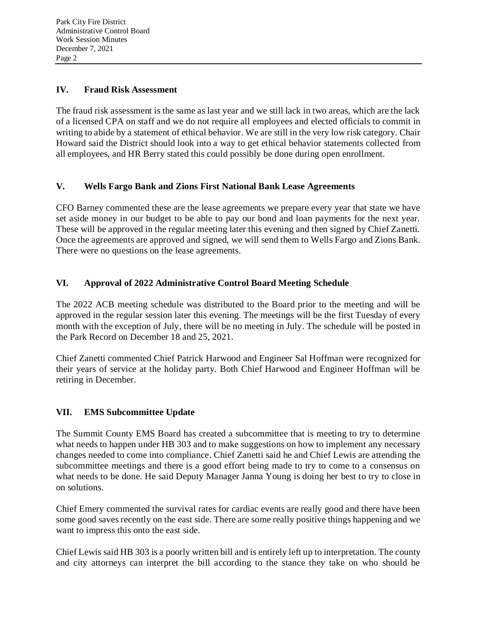## **IV. Fraud Risk Assessment**

The fraud risk assessment is the same as last year and we still lack in two areas, which are the lack of a licensed CPA on staff and we do not require all employees and elected officials to commit in writing to abide by a statement of ethical behavior. We are still in the very low risk category. Chair Howard said the District should look into a way to get ethical behavior statements collected from all employees, and HR Berry stated this could possibly be done during open enrollment.

# **V. Wells Fargo Bank and Zions First National Bank Lease Agreements**

CFO Barney commented these are the lease agreements we prepare every year that state we have set aside money in our budget to be able to pay our bond and loan payments for the next year. These will be approved in the regular meeting later this evening and then signed by Chief Zanetti. Once the agreements are approved and signed, we will send them to Wells Fargo and Zions Bank. There were no questions on the lease agreements.

# **VI. Approval of 2022 Administrative Control Board Meeting Schedule**

The 2022 ACB meeting schedule was distributed to the Board prior to the meeting and will be approved in the regular session later this evening. The meetings will be the first Tuesday of every month with the exception of July, there will be no meeting in July. The schedule will be posted in the Park Record on December 18 and 25, 2021.

Chief Zanetti commented Chief Patrick Harwood and Engineer Sal Hoffman were recognized for their years of service at the holiday party. Both Chief Harwood and Engineer Hoffman will be retiring in December.

# **VII. EMS Subcommittee Update**

The Summit County EMS Board has created a subcommittee that is meeting to try to determine what needs to happen under HB 303 and to make suggestions on how to implement any necessary changes needed to come into compliance. Chief Zanetti said he and Chief Lewis are attending the subcommittee meetings and there is a good effort being made to try to come to a consensus on what needs to be done. He said Deputy Manager Janna Young is doing her best to try to close in on solutions.

Chief Emery commented the survival rates for cardiac events are really good and there have been some good saves recently on the east side. There are some really positive things happening and we want to impress this onto the east side.

Chief Lewis said HB 303 is a poorly written bill and is entirely left up to interpretation. The county and city attorneys can interpret the bill according to the stance they take on who should be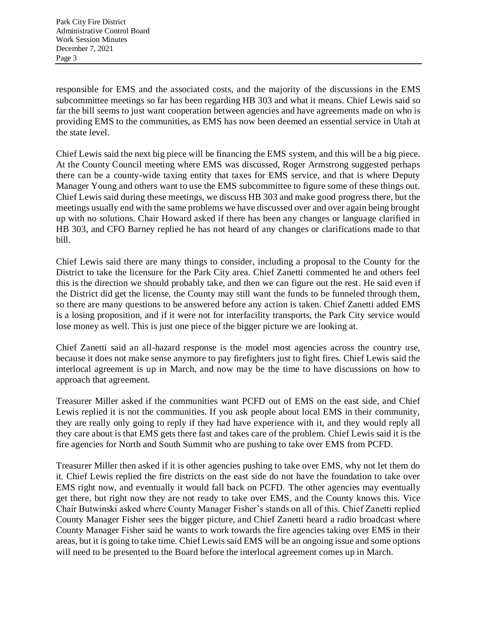responsible for EMS and the associated costs, and the majority of the discussions in the EMS subcommittee meetings so far has been regarding HB 303 and what it means. Chief Lewis said so far the bill seems to just want cooperation between agencies and have agreements made on who is providing EMS to the communities, as EMS has now been deemed an essential service in Utah at the state level.

Chief Lewis said the next big piece will be financing the EMS system, and this will be a big piece. At the County Council meeting where EMS was discussed, Roger Armstrong suggested perhaps there can be a county-wide taxing entity that taxes for EMS service, and that is where Deputy Manager Young and others want to use the EMS subcommittee to figure some of these things out. Chief Lewis said during these meetings, we discuss HB 303 and make good progress there, but the meetings usually end with the same problems we have discussed over and over again being brought up with no solutions. Chair Howard asked if there has been any changes or language clarified in HB 303, and CFO Barney replied he has not heard of any changes or clarifications made to that bill.

Chief Lewis said there are many things to consider, including a proposal to the County for the District to take the licensure for the Park City area. Chief Zanetti commented he and others feel this is the direction we should probably take, and then we can figure out the rest. He said even if the District did get the license, the County may still want the funds to be funneled through them, so there are many questions to be answered before any action is taken. Chief Zanetti added EMS is a losing proposition, and if it were not for interfacility transports, the Park City service would lose money as well. This is just one piece of the bigger picture we are looking at.

Chief Zanetti said an all-hazard response is the model most agencies across the country use, because it does not make sense anymore to pay firefighters just to fight fires. Chief Lewis said the interlocal agreement is up in March, and now may be the time to have discussions on how to approach that agreement.

Treasurer Miller asked if the communities want PCFD out of EMS on the east side, and Chief Lewis replied it is not the communities. If you ask people about local EMS in their community, they are really only going to reply if they had have experience with it, and they would reply all they care about is that EMS gets there fast and takes care of the problem. Chief Lewis said it is the fire agencies for North and South Summit who are pushing to take over EMS from PCFD.

Treasurer Miller then asked if it is other agencies pushing to take over EMS, why not let them do it. Chief Lewis replied the fire districts on the east side do not have the foundation to take over EMS right now, and eventually it would fall back on PCFD. The other agencies may eventually get there, but right now they are not ready to take over EMS, and the County knows this. Vice Chair Butwinski asked where County Manager Fisher's stands on all of this. Chief Zanetti replied County Manager Fisher sees the bigger picture, and Chief Zanetti heard a radio broadcast where County Manager Fisher said he wants to work towards the fire agencies taking over EMS in their areas, but it is going to take time. Chief Lewis said EMS will be an ongoing issue and some options will need to be presented to the Board before the interlocal agreement comes up in March.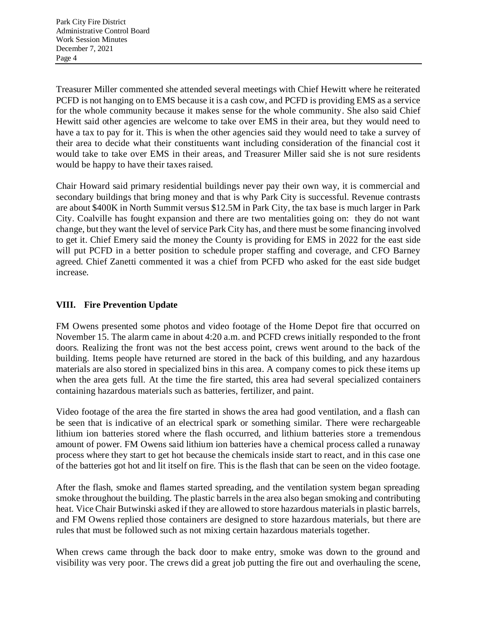Treasurer Miller commented she attended several meetings with Chief Hewitt where he reiterated PCFD is not hanging on to EMS because it is a cash cow, and PCFD is providing EMS as a service for the whole community because it makes sense for the whole community. She also said Chief Hewitt said other agencies are welcome to take over EMS in their area, but they would need to have a tax to pay for it. This is when the other agencies said they would need to take a survey of their area to decide what their constituents want including consideration of the financial cost it would take to take over EMS in their areas, and Treasurer Miller said she is not sure residents would be happy to have their taxes raised.

Chair Howard said primary residential buildings never pay their own way, it is commercial and secondary buildings that bring money and that is why Park City is successful. Revenue contrasts are about \$400K in North Summit versus \$12.5M in Park City, the tax base is much larger in Park City. Coalville has fought expansion and there are two mentalities going on: they do not want change, but they want the level of service Park City has, and there must be some financing involved to get it. Chief Emery said the money the County is providing for EMS in 2022 for the east side will put PCFD in a better position to schedule proper staffing and coverage, and CFO Barney agreed. Chief Zanetti commented it was a chief from PCFD who asked for the east side budget increase.

# **VIII. Fire Prevention Update**

FM Owens presented some photos and video footage of the Home Depot fire that occurred on November 15. The alarm came in about 4:20 a.m. and PCFD crews initially responded to the front doors. Realizing the front was not the best access point, crews went around to the back of the building. Items people have returned are stored in the back of this building, and any hazardous materials are also stored in specialized bins in this area. A company comes to pick these items up when the area gets full. At the time the fire started, this area had several specialized containers containing hazardous materials such as batteries, fertilizer, and paint.

Video footage of the area the fire started in shows the area had good ventilation, and a flash can be seen that is indicative of an electrical spark or something similar. There were rechargeable lithium ion batteries stored where the flash occurred, and lithium batteries store a tremendous amount of power. FM Owens said lithium ion batteries have a chemical process called a runaway process where they start to get hot because the chemicals inside start to react, and in this case one of the batteries got hot and lit itself on fire. This is the flash that can be seen on the video footage.

After the flash, smoke and flames started spreading, and the ventilation system began spreading smoke throughout the building. The plastic barrels in the area also began smoking and contributing heat. Vice Chair Butwinski asked if they are allowed to store hazardous materials in plastic barrels, and FM Owens replied those containers are designed to store hazardous materials, but there are rules that must be followed such as not mixing certain hazardous materials together.

When crews came through the back door to make entry, smoke was down to the ground and visibility was very poor. The crews did a great job putting the fire out and overhauling the scene,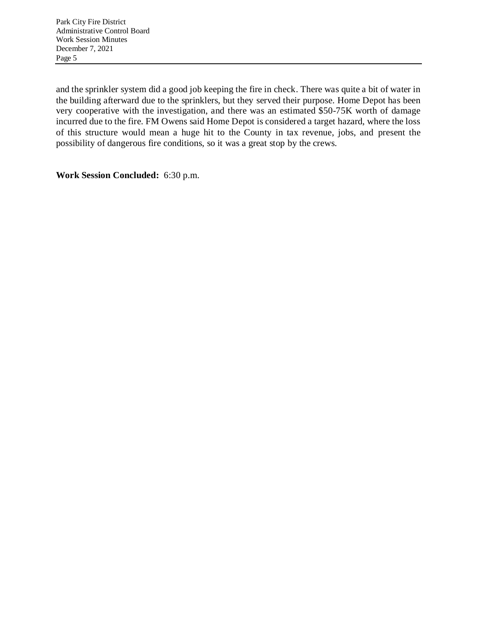and the sprinkler system did a good job keeping the fire in check. There was quite a bit of water in the building afterward due to the sprinklers, but they served their purpose. Home Depot has been very cooperative with the investigation, and there was an estimated \$50-75K worth of damage incurred due to the fire. FM Owens said Home Depot is considered a target hazard, where the loss of this structure would mean a huge hit to the County in tax revenue, jobs, and present the possibility of dangerous fire conditions, so it was a great stop by the crews.

**Work Session Concluded:** 6:30 p.m.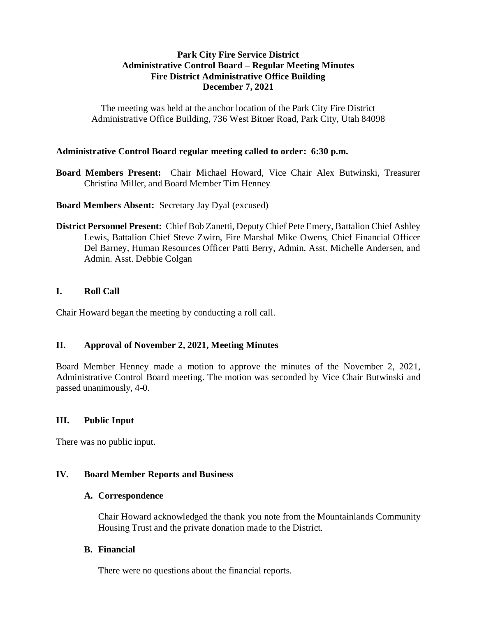## **Park City Fire Service District Administrative Control Board – Regular Meeting Minutes Fire District Administrative Office Building December 7, 2021**

The meeting was held at the anchor location of the Park City Fire District Administrative Office Building, 736 West Bitner Road, Park City, Utah 84098

### **Administrative Control Board regular meeting called to order: 6:30 p.m.**

**Board Members Present:** Chair Michael Howard, Vice Chair Alex Butwinski, Treasurer Christina Miller, and Board Member Tim Henney

#### **Board Members Absent:** Secretary Jay Dyal (excused)

**District Personnel Present:** Chief Bob Zanetti, Deputy Chief Pete Emery, Battalion Chief Ashley Lewis, Battalion Chief Steve Zwirn, Fire Marshal Mike Owens, Chief Financial Officer Del Barney, Human Resources Officer Patti Berry, Admin. Asst. Michelle Andersen, and Admin. Asst. Debbie Colgan

### **I. Roll Call**

Chair Howard began the meeting by conducting a roll call.

### **II. Approval of November 2, 2021, Meeting Minutes**

Board Member Henney made a motion to approve the minutes of the November 2, 2021, Administrative Control Board meeting. The motion was seconded by Vice Chair Butwinski and passed unanimously, 4-0.

### **III. Public Input**

There was no public input.

### **IV. Board Member Reports and Business**

#### **A. Correspondence**

Chair Howard acknowledged the thank you note from the Mountainlands Community Housing Trust and the private donation made to the District.

#### **B. Financial**

There were no questions about the financial reports.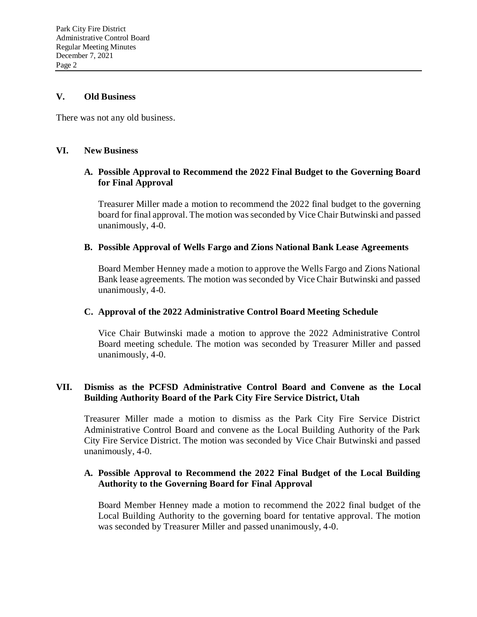#### **V. Old Business**

There was not any old business.

#### **VI. New Business**

### **A. Possible Approval to Recommend the 2022 Final Budget to the Governing Board for Final Approval**

Treasurer Miller made a motion to recommend the 2022 final budget to the governing board for final approval. The motion was seconded by Vice Chair Butwinski and passed unanimously, 4-0.

#### **B. Possible Approval of Wells Fargo and Zions National Bank Lease Agreements**

Board Member Henney made a motion to approve the Wells Fargo and Zions National Bank lease agreements. The motion was seconded by Vice Chair Butwinski and passed unanimously, 4-0.

#### **C. Approval of the 2022 Administrative Control Board Meeting Schedule**

Vice Chair Butwinski made a motion to approve the 2022 Administrative Control Board meeting schedule. The motion was seconded by Treasurer Miller and passed unanimously, 4-0.

## **VII. Dismiss as the PCFSD Administrative Control Board and Convene as the Local Building Authority Board of the Park City Fire Service District, Utah**

Treasurer Miller made a motion to dismiss as the Park City Fire Service District Administrative Control Board and convene as the Local Building Authority of the Park City Fire Service District. The motion was seconded by Vice Chair Butwinski and passed unanimously, 4-0.

### **A. Possible Approval to Recommend the 2022 Final Budget of the Local Building Authority to the Governing Board for Final Approval**

Board Member Henney made a motion to recommend the 2022 final budget of the Local Building Authority to the governing board for tentative approval. The motion was seconded by Treasurer Miller and passed unanimously, 4-0.